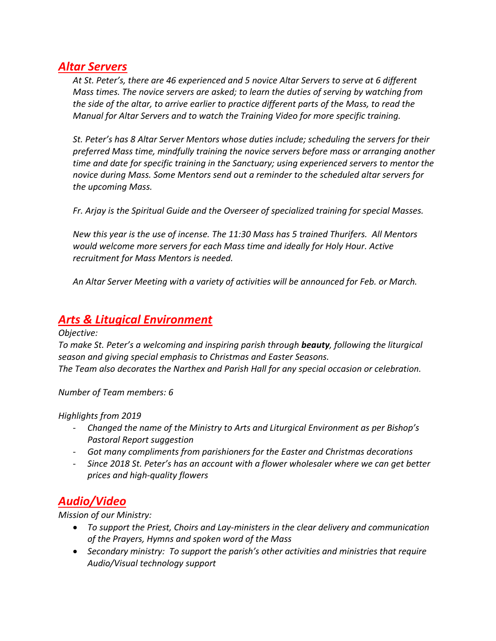#### *Altar Servers*

*At St. Peter's, there are 46 experienced and 5 novice Altar Servers to serve at 6 different Mass times. The novice servers are asked; to learn the duties of serving by watching from the side of the altar, to arrive earlier to practice different parts of the Mass, to read the Manual for Altar Servers and to watch the Training Video for more specific training.*

*St. Peter's has 8 Altar Server Mentors whose duties include; scheduling the servers for their preferred Mass time, mindfully training the novice servers before mass or arranging another time and date for specific training in the Sanctuary; using experienced servers to mentor the novice during Mass. Some Mentors send out a reminder to the scheduled altar servers for the upcoming Mass.*

*Fr. Arjay is the Spiritual Guide and the Overseer of specialized training for special Masses.* 

*New this year is the use of incense. The 11:30 Mass has 5 trained Thurifers. All Mentors would welcome more servers for each Mass time and ideally for Holy Hour. Active recruitment for Mass Mentors is needed.*

*An Altar Server Meeting with a variety of activities will be announced for Feb. or March.*

## *Arts & Litugical Environment*

*Objective:*

*To make St. Peter's a welcoming and inspiring parish through beauty, following the liturgical season and giving special emphasis to Christmas and Easter Seasons. The Team also decorates the Narthex and Parish Hall for any special occasion or celebration.*

*Number of Team members: 6*

*Highlights from 2019*

- *Changed the name of the Ministry to Arts and Liturgical Environment as per Bishop's Pastoral Report suggestion*
- *Got many compliments from parishioners for the Easter and Christmas decorations*
- *Since 2018 St. Peter's has an account with a flower wholesaler where we can get better prices and high-quality flowers*

# *Audio/Video*

*Mission of our Ministry:*

- *To support the Priest, Choirs and Lay-ministers in the clear delivery and communication of the Prayers, Hymns and spoken word of the Mass*
- *Secondary ministry: To support the parish's other activities and ministries that require Audio/Visual technology support*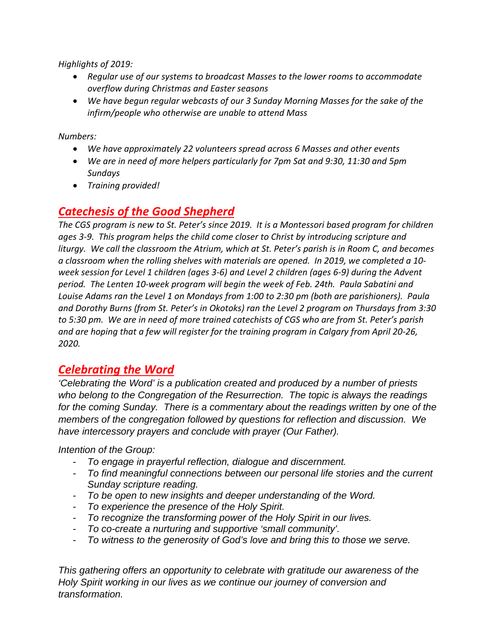*Highlights of 2019:*

- *Regular use of our systems to broadcast Masses to the lower rooms to accommodate overflow during Christmas and Easter seasons*
- *We have begun regular webcasts of our 3 Sunday Morning Masses for the sake of the infirm/people who otherwise are unable to attend Mass*

*Numbers:*

- *We have approximately 22 volunteers spread across 6 Masses and other events*
- *We are in need of more helpers particularly for 7pm Sat and 9:30, 11:30 and 5pm Sundays*
- *Training provided!*

# *Catechesis of the Good Shepherd*

*The CGS program is new to St. Peter's since 2019. It is a Montessori based program for children ages 3-9. This program helps the child come closer to Christ by introducing scripture and liturgy. We call the classroom the Atrium, which at St. Peter's parish is in Room C, and becomes a classroom when the rolling shelves with materials are opened. In 2019, we completed a 10 week session for Level 1 children (ages 3-6) and Level 2 children (ages 6-9) during the Advent period. The Lenten 10-week program will begin the week of Feb. 24th. Paula Sabatini and Louise Adams ran the Level 1 on Mondays from 1:00 to 2:30 pm (both are parishioners). Paula and Dorothy Burns (from St. Peter's in Okotoks) ran the Level 2 program on Thursdays from 3:30 to 5:30 pm. We are in need of more trained catechists of CGS who are from St. Peter's parish and are hoping that a few will register for the training program in Calgary from April 20-26, 2020.*

## *Celebrating the Word*

*'Celebrating the Word' is a publication created and produced by a number of priests who belong to the Congregation of the Resurrection. The topic is always the readings for the coming Sunday. There is a commentary about the readings written by one of the members of the congregation followed by questions for reflection and discussion. We have intercessory prayers and conclude with prayer (Our Father).*

*Intention of the Group:*

- *To engage in prayerful reflection, dialogue and discernment.*
- *To find meaningful connections between our personal life stories and the current Sunday scripture reading.*
- *To be open to new insights and deeper understanding of the Word.*
- *To experience the presence of the Holy Spirit.*
- *To recognize the transforming power of the Holy Spirit in our lives.*
- *To co-create a nurturing and supportive 'small community'.*
- *To witness to the generosity of God's love and bring this to those we serve.*

*This gathering offers an opportunity to celebrate with gratitude our awareness of the Holy Spirit working in our lives as we continue our journey of conversion and transformation.*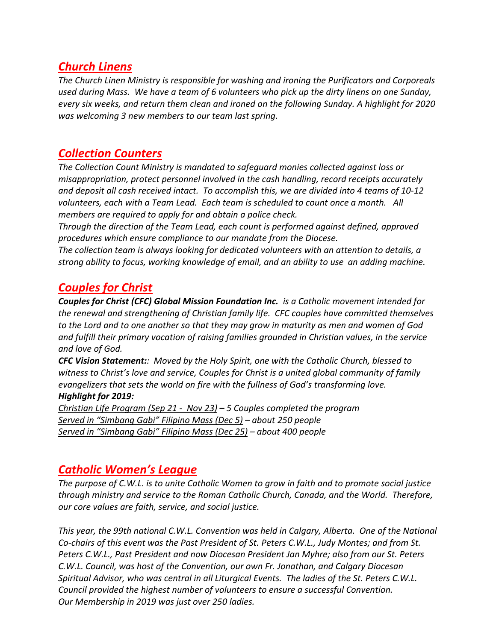## *Church Linens*

*The Church Linen Ministry is responsible for washing and ironing the Purificators and Corporeals used during Mass. We have a team of 6 volunteers who pick up the dirty linens on one Sunday, every six weeks, and return them clean and ironed on the following Sunday. A highlight for 2020 was welcoming 3 new members to our team last spring.*

## *Collection Counters*

*The Collection Count Ministry is mandated to safeguard monies collected against loss or misappropriation, protect personnel involved in the cash handling, record receipts accurately and deposit all cash received intact. To accomplish this, we are divided into 4 teams of 10-12 volunteers, each with a Team Lead. Each team is scheduled to count once a month. All members are required to apply for and obtain a police check.*

*Through the direction of the Team Lead, each count is performed against defined, approved procedures which ensure compliance to our mandate from the Diocese.* 

*The collection team is always looking for dedicated volunteers with an attention to details, a strong ability to focus, working knowledge of email, and an ability to use an adding machine.*

# *Couples for Christ*

*Couples for Christ (CFC) Global Mission Foundation Inc. is a Catholic movement intended for the renewal and strengthening of Christian family life. CFC couples have committed themselves to the Lord and to one another so that they may grow in maturity as men and women of God and fulfill their primary vocation of raising families grounded in Christian values, in the service and love of God.*

*CFC Vision Statement:: Moved by the Holy Spirit, one with the Catholic Church, blessed to witness to Christ's love and service, Couples for Christ is a united global community of family evangelizers that sets the world on fire with the fullness of God's transforming love. Highlight for 2019:*

*Christian Life Program (Sep 21 - Nov 23) – 5 Couples completed the program Served in "Simbang Gabi" Filipino Mass (Dec 5) – about 250 people Served in "Simbang Gabi" Filipino Mass (Dec 25) – about 400 people*

## *Catholic Women's League*

*The purpose of C.W.L. is to unite Catholic Women to grow in faith and to promote social justice through ministry and service to the Roman Catholic Church, Canada, and the World. Therefore, our core values are faith, service, and social justice.*

*This year, the 99th national C.W.L. Convention was held in Calgary, Alberta. One of the National Co-chairs of this event was the Past President of St. Peters C.W.L., Judy Montes; and from St. Peters C.W.L., Past President and now Diocesan President Jan Myhre; also from our St. Peters C.W.L. Council, was host of the Convention, our own Fr. Jonathan, and Calgary Diocesan Spiritual Advisor, who was central in all Liturgical Events. The ladies of the St. Peters C.W.L. Council provided the highest number of volunteers to ensure a successful Convention. Our Membership in 2019 was just over 250 ladies.*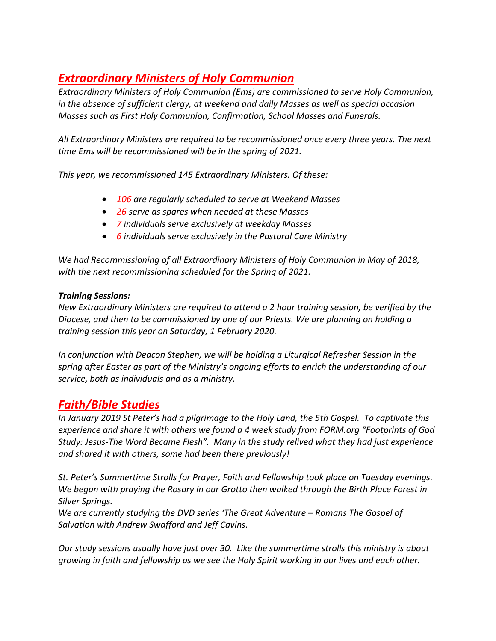# *Extraordinary Ministers of Holy Communion*

*Extraordinary Ministers of Holy Communion (Ems) are commissioned to serve Holy Communion, in the absence of sufficient clergy, at weekend and daily Masses as well as special occasion Masses such as First Holy Communion, Confirmation, School Masses and Funerals.*

*All Extraordinary Ministers are required to be recommissioned once every three years. The next time Ems will be recommissioned will be in the spring of 2021.*

*This year, we recommissioned 145 Extraordinary Ministers. Of these:*

- *106 are regularly scheduled to serve at Weekend Masses*
- *26 serve as spares when needed at these Masses*
- *7 individuals serve exclusively at weekday Masses*
- *6 individuals serve exclusively in the Pastoral Care Ministry*

*We had Recommissioning of all Extraordinary Ministers of Holy Communion in May of 2018, with the next recommissioning scheduled for the Spring of 2021.*

#### *Training Sessions:*

*New Extraordinary Ministers are required to attend a 2 hour training session, be verified by the Diocese, and then to be commissioned by one of our Priests. We are planning on holding a training session this year on Saturday, 1 February 2020.*

*In conjunction with Deacon Stephen, we will be holding a Liturgical Refresher Session in the spring after Easter as part of the Ministry's ongoing efforts to enrich the understanding of our service, both as individuals and as a ministry.*

### *Faith/Bible Studies*

*In January 2019 St Peter's had a pilgrimage to the Holy Land, the 5th Gospel. To captivate this experience and share it with others we found a 4 week study from FORM.org "Footprints of God Study: Jesus-The Word Became Flesh". Many in the study relived what they had just experience and shared it with others, some had been there previously!*

*St. Peter's Summertime Strolls for Prayer, Faith and Fellowship took place on Tuesday evenings. We began with praying the Rosary in our Grotto then walked through the Birth Place Forest in Silver Springs.* 

*We are currently studying the DVD series 'The Great Adventure – Romans The Gospel of Salvation with Andrew Swafford and Jeff Cavins.* 

*Our study sessions usually have just over 30. Like the summertime strolls this ministry is about growing in faith and fellowship as we see the Holy Spirit working in our lives and each other.*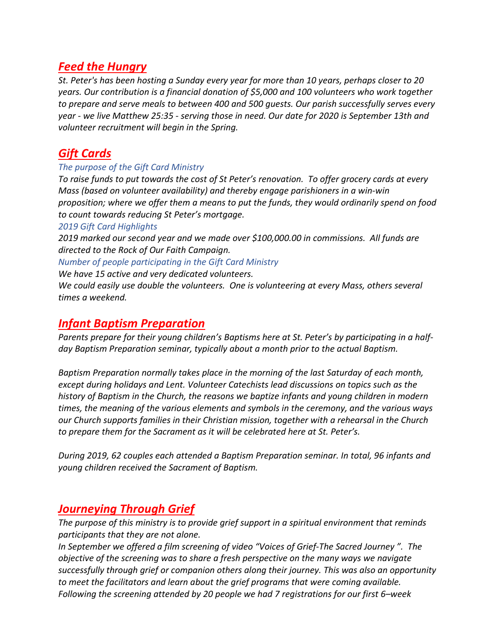## *Feed the Hungry*

*St. Peter's has been hosting a Sunday every year for more than 10 years, perhaps closer to 20 years. Our contribution is a financial donation of \$5,000 and 100 volunteers who work together to prepare and serve meals to between 400 and 500 guests. Our parish successfully serves every year - we live Matthew 25:35 - serving those in need. Our date for 2020 is September 13th and volunteer recruitment will begin in the Spring.*

# *Gift Cards*

#### *The purpose of the Gift Card Ministry*

*To raise funds to put towards the cost of St Peter's renovation. To offer grocery cards at every Mass (based on volunteer availability) and thereby engage parishioners in a win-win proposition; where we offer them a means to put the funds, they would ordinarily spend on food to count towards reducing St Peter's mortgage.*

#### *2019 Gift Card Highlights*

*2019 marked our second year and we made over \$100,000.00 in commissions. All funds are directed to the Rock of Our Faith Campaign.*

#### *Number of people participating in the Gift Card Ministry*

*We have 15 active and very dedicated volunteers.*

*We could easily use double the volunteers. One is volunteering at every Mass, others several times a weekend.*

#### *Infant Baptism Preparation*

*Parents prepare for their young children's Baptisms here at St. Peter's by participating in a halfday Baptism Preparation seminar, typically about a month prior to the actual Baptism.* 

*Baptism Preparation normally takes place in the morning of the last Saturday of each month, except during holidays and Lent. Volunteer Catechists lead discussions on topics such as the history of Baptism in the Church, the reasons we baptize infants and young children in modern times, the meaning of the various elements and symbols in the ceremony, and the various ways our Church supports families in their Christian mission, together with a rehearsal in the Church to prepare them for the Sacrament as it will be celebrated here at St. Peter's.* 

*During 2019, 62 couples each attended a Baptism Preparation seminar. In total, 96 infants and young children received the Sacrament of Baptism.*

### *Journeying Through Grief*

*The purpose of this ministry is to provide grief support in a spiritual environment that reminds participants that they are not alone.* 

*In September we offered a film screening of video "Voices of Grief-The Sacred Journey ". The objective of the screening was to share a fresh perspective on the many ways we navigate successfully through grief or companion others along their journey. This was also an opportunity to meet the facilitators and learn about the grief programs that were coming available. Following the screening attended by 20 people we had 7 registrations for our first 6–week*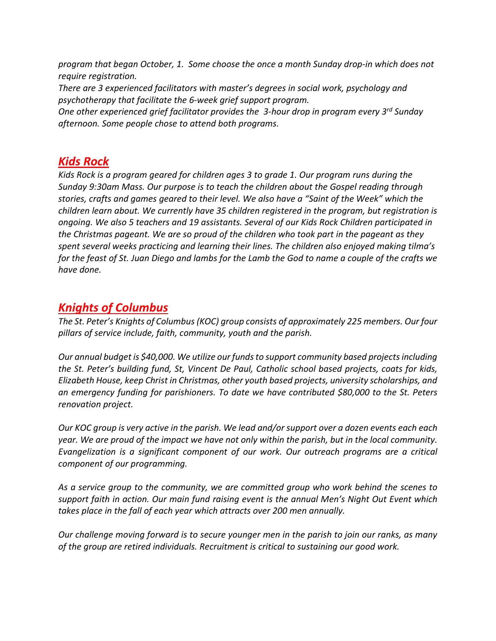*program that began October, 1. Some choose the once a month Sunday drop-in which does not require registration.*

*There are 3 experienced facilitators with master's degrees in social work, psychology and psychotherapy that facilitate the 6-week grief support program.* 

*One other experienced grief facilitator provides the 3-hour drop in program every 3rd Sunday afternoon. Some people chose to attend both programs.*

## *Kids Rock*

*Kids Rock is a program geared for children ages 3 to grade 1. Our program runs during the Sunday 9:30am Mass. Our purpose is to teach the children about the Gospel reading through stories, crafts and games geared to their level. We also have a "Saint of the Week" which the children learn about. We currently have 35 children registered in the program, but registration is ongoing. We also 5 teachers and 19 assistants. Several of our Kids Rock Children participated in the Christmas pageant. We are so proud of the children who took part in the pageant as they spent several weeks practicing and learning their lines. The children also enjoyed making tilma's for the feast of St. Juan Diego and lambs for the Lamb the God to name a couple of the crafts we have done.*

# *Knights of Columbus*

*The St. Peter's Knights of Columbus (KOC) group consists of approximately 225 members. Our four pillars of service include, faith, community, youth and the parish.* 

*Our annual budget is \$40,000. We utilize our funds to support community based projects including the St. Peter's building fund, St, Vincent De Paul, Catholic school based projects, coats for kids, Elizabeth House, keep Christ in Christmas, other youth based projects, university scholarships, and an emergency funding for parishioners. To date we have contributed \$80,000 to the St. Peters renovation project.*

*Our KOC group is very active in the parish. We lead and/or support over a dozen events each each year. We are proud of the impact we have not only within the parish, but in the local community. Evangelization is a significant component of our work. Our outreach programs are a critical component of our programming.* 

*As a service group to the community, we are committed group who work behind the scenes to support faith in action. Our main fund raising event is the annual Men's Night Out Event which takes place in the fall of each year which attracts over 200 men annually.*

*Our challenge moving forward is to secure younger men in the parish to join our ranks, as many of the group are retired individuals. Recruitment is critical to sustaining our good work.*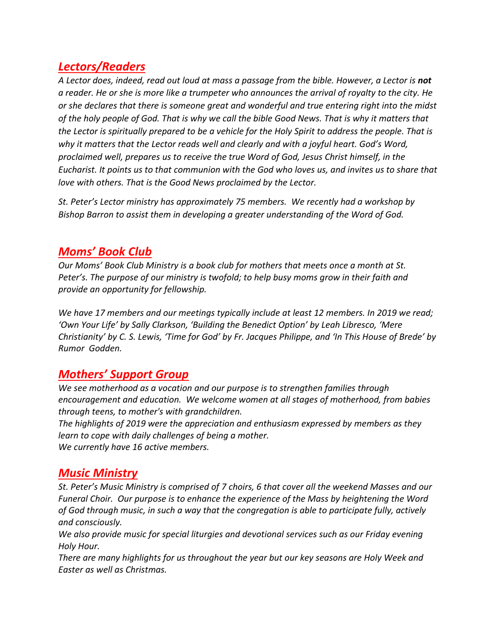## *Lectors/Readers*

A Lector does, indeed, read out loud at mass a passage from the bible. However, a Lector is **not** *a reader. He or she is more like a trumpeter who announces the arrival of royalty to the city. He or she declares that there is someone great and wonderful and true entering right into the midst of the holy people of God. That is why we call the bible Good News. That is why it matters that the Lector is spiritually prepared to be a vehicle for the Holy Spirit to address the people. That is why it matters that the Lector reads well and clearly and with a joyful heart. God's Word, proclaimed well, prepares us to receive the true Word of God, Jesus Christ himself, in the Eucharist. It points us to that communion with the God who loves us, and invites us to share that love with others. That is the Good News proclaimed by the Lector.* 

*St. Peter's Lector ministry has approximately 75 members. We recently had a workshop by Bishop Barron to assist them in developing a greater understanding of the Word of God.* 

## *Moms' Book Club*

*Our Moms' Book Club Ministry is a book club for mothers that meets once a month at St. Peter's. The purpose of our ministry is twofold; to help busy moms grow in their faith and provide an opportunity for fellowship.*

*We have 17 members and our meetings typically include at least 12 members. In 2019 we read; 'Own Your Life' by Sally Clarkson, 'Building the Benedict Option' by Leah Libresco, 'Mere Christianity' by C. S. Lewis, 'Time for God' by Fr. Jacques Philippe, and 'In This House of Brede' by Rumor Godden.*

## *Mothers' Support Group*

*We see motherhood as a vocation and our purpose is to strengthen families through encouragement and education. We welcome women at all stages of motherhood, from babies through teens, to mother's with grandchildren.* 

*The highlights of 2019 were the appreciation and enthusiasm expressed by members as they learn to cope with daily challenges of being a mother.* 

*We currently have 16 active members.* 

## *Music Ministry*

*St. Peter's Music Ministry is comprised of 7 choirs, 6 that cover all the weekend Masses and our Funeral Choir. Our purpose is to enhance the experience of the Mass by heightening the Word of God through music, in such a way that the congregation is able to participate fully, actively and consciously.*

*We also provide music for special liturgies and devotional services such as our Friday evening Holy Hour.* 

*There are many highlights for us throughout the year but our key seasons are Holy Week and Easter as well as Christmas.*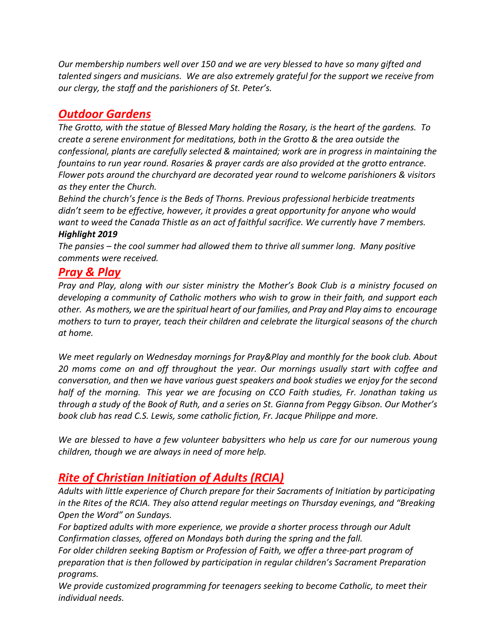*Our membership numbers well over 150 and we are very blessed to have so many gifted and talented singers and musicians. We are also extremely grateful for the support we receive from our clergy, the staff and the parishioners of St. Peter's.* 

# *Outdoor Gardens*

*The Grotto, with the statue of Blessed Mary holding the Rosary, is the heart of the gardens. To create a serene environment for meditations, both in the Grotto & the area outside the confessional, plants are carefully selected & maintained; work are in progress in maintaining the fountains to run year round. Rosaries & prayer cards are also provided at the grotto entrance. Flower pots around the churchyard are decorated year round to welcome parishioners & visitors as they enter the Church.*

*Behind the church's fence is the Beds of Thorns. Previous professional herbicide treatments didn't seem to be effective, however, it provides a great opportunity for anyone who would want to weed the Canada Thistle as an act of faithful sacrifice. We currently have 7 members. Highlight 2019*

*The pansies – the cool summer had allowed them to thrive all summer long. Many positive comments were received.*

### *Pray & Play*

*Pray and Play, along with our sister ministry the Mother's Book Club is a ministry focused on developing a community of Catholic mothers who wish to grow in their faith, and support each other. As mothers, we are the spiritual heart of our families, and Pray and Play aims to encourage mothers to turn to prayer, teach their children and celebrate the liturgical seasons of the church at home.*

*We meet regularly on Wednesday mornings for Pray&Play and monthly for the book club. About 20 moms come on and off throughout the year. Our mornings usually start with coffee and conversation, and then we have various guest speakers and book studies we enjoy for the second half of the morning. This year we are focusing on CCO Faith studies, Fr. Jonathan taking us through a study of the Book of Ruth, and a series on St. Gianna from Peggy Gibson. Our Mother's book club has read C.S. Lewis, some catholic fiction, Fr. Jacque Philippe and more.*

*We are blessed to have a few volunteer babysitters who help us care for our numerous young children, though we are always in need of more help.* 

# *Rite of Christian Initiation of Adults (RCIA)*

*Adults with little experience of Church prepare for their Sacraments of Initiation by participating in the Rites of the RCIA. They also attend regular meetings on Thursday evenings, and "Breaking Open the Word" on Sundays.*

*For baptized adults with more experience, we provide a shorter process through our Adult Confirmation classes, offered on Mondays both during the spring and the fall.* 

*For older children seeking Baptism or Profession of Faith, we offer a three-part program of preparation that is then followed by participation in regular children's Sacrament Preparation programs.* 

*We provide customized programming for teenagers seeking to become Catholic, to meet their individual needs.*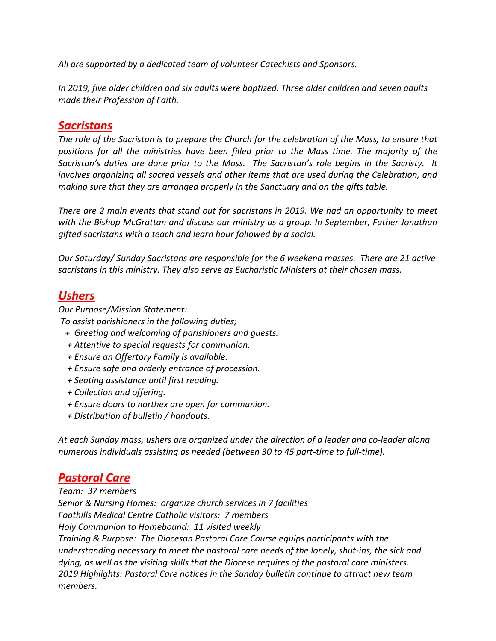*All are supported by a dedicated team of volunteer Catechists and Sponsors.* 

*In 2019, five older children and six adults were baptized. Three older children and seven adults made their Profession of Faith.* 

#### *Sacristans*

*The role of the Sacristan is to prepare the Church for the celebration of the Mass, to ensure that positions for all the ministries have been filled prior to the Mass time. The majority of the Sacristan's duties are done prior to the Mass. The Sacristan's role begins in the Sacristy. It involves organizing all sacred vessels and other items that are used during the Celebration, and making sure that they are arranged properly in the Sanctuary and on the gifts table.* 

*There are 2 main events that stand out for sacristans in 2019. We had an opportunity to meet with the Bishop McGrattan and discuss our ministry as a group. In September, Father Jonathan gifted sacristans with a teach and learn hour followed by a social.*

*Our Saturday/ Sunday Sacristans are responsible for the 6 weekend masses. There are 21 active sacristans in this ministry. They also serve as Eucharistic Ministers at their chosen mass.* 

#### *Ushers*

*Our Purpose/Mission Statement:*

*To assist parishioners in the following duties;*

- *+ Greeting and welcoming of parishioners and guests.*
- *+ Attentive to special requests for communion.*
- *+ Ensure an Offertory Family is available.*
- *+ Ensure safe and orderly entrance of procession.*
- *+ Seating assistance until first reading.*
- *+ Collection and offering.*
- *+ Ensure doors to narthex are open for communion.*
- *+ Distribution of bulletin / handouts.*

*At each Sunday mass, ushers are organized under the direction of a leader and co-leader along numerous individuals assisting as needed (between 30 to 45 part-time to full-time).*

# *Pastoral Care*

*Team: 37 members Senior & Nursing Homes: organize church services in 7 facilities Foothills Medical Centre Catholic visitors: 7 members Holy Communion to Homebound: 11 visited weekly Training & Purpose: The Diocesan Pastoral Care Course equips participants with the understanding necessary to meet the pastoral care needs of the lonely, shut-ins, the sick and dying, as well as the visiting skills that the Diocese requires of the pastoral care ministers. 2019 Highlights: Pastoral Care notices in the Sunday bulletin continue to attract new team members.*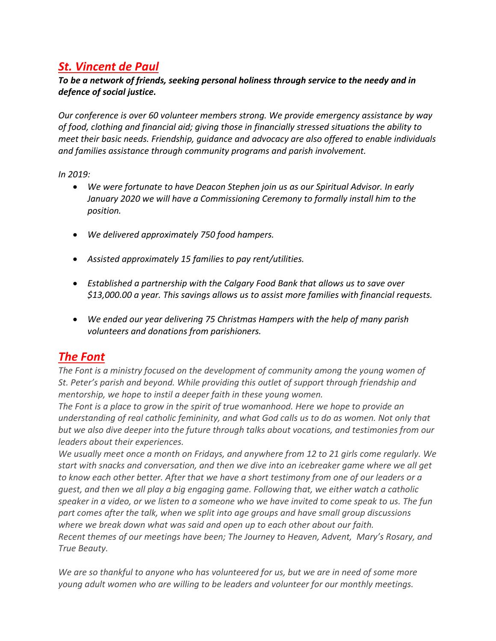# *St. Vincent de Paul*

#### *To be a network of friends, seeking personal holiness through service to the needy and in defence of social justice.*

*Our conference is over 60 volunteer members strong. We provide emergency assistance by way of food, clothing and financial aid; giving those in financially stressed situations the ability to meet their basic needs. Friendship, guidance and advocacy are also offered to enable individuals and families assistance through community programs and parish involvement.* 

*In 2019:*

- *We were fortunate to have Deacon Stephen join us as our Spiritual Advisor. In early January 2020 we will have a Commissioning Ceremony to formally install him to the position.*
- *We delivered approximately 750 food hampers.*
- *Assisted approximately 15 families to pay rent/utilities.*
- *Established a partnership with the Calgary Food Bank that allows us to save over \$13,000.00 a year. This savings allows us to assist more families with financial requests.*
- *We ended our year delivering 75 Christmas Hampers with the help of many parish volunteers and donations from parishioners.*

# *The Font*

*The Font is a ministry focused on the development of community among the young women of St. Peter's parish and beyond. While providing this outlet of support through friendship and mentorship, we hope to instil a deeper faith in these young women.*

*The Font is a place to grow in the spirit of true womanhood. Here we hope to provide an understanding of real catholic femininity, and what God calls us to do as women. Not only that but we also dive deeper into the future through talks about vocations, and testimonies from our leaders about their experiences.*

*We usually meet once a month on Fridays, and anywhere from 12 to 21 girls come regularly. We start with snacks and conversation, and then we dive into an icebreaker game where we all get to know each other better. After that we have a short testimony from one of our leaders or a guest, and then we all play a big engaging game. Following that, we either watch a catholic speaker in a video, or we listen to a someone who we have invited to come speak to us. The fun part comes after the talk, when we split into age groups and have small group discussions where we break down what was said and open up to each other about our faith. Recent themes of our meetings have been; The Journey to Heaven, Advent, Mary's Rosary, and True Beauty.*

*We are so thankful to anyone who has volunteered for us, but we are in need of some more young adult women who are willing to be leaders and volunteer for our monthly meetings.*